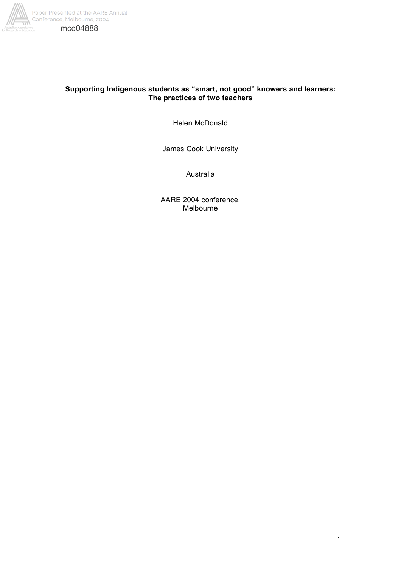

# **Supporting Indigenous students as "smart, not good" knowers and learners: The practices of two teachers**

Helen McDonald

James Cook University

Australia

AARE 2004 conference, Melbourne

1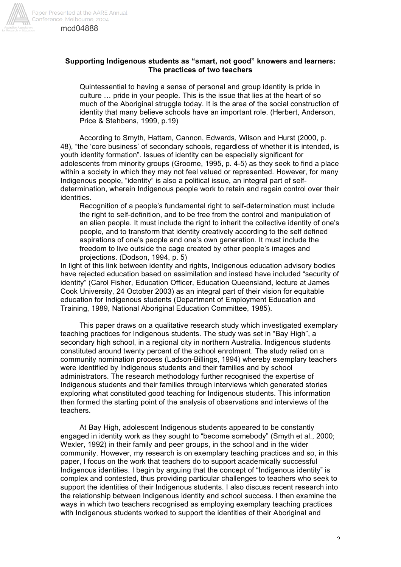

## **Supporting Indigenous students as "smart, not good" knowers and learners: The practices of two teachers**

Quintessential to having a sense of personal and group identity is pride in culture … pride in your people. This is the issue that lies at the heart of so much of the Aboriginal struggle today. It is the area of the social construction of identity that many believe schools have an important role. (Herbert, Anderson, Price & Stehbens, 1999, p.19)

According to Smyth, Hattam, Cannon, Edwards, Wilson and Hurst (2000, p. 48), "the 'core business' of secondary schools, regardless of whether it is intended, is youth identity formation". Issues of identity can be especially significant for adolescents from minority groups (Groome, 1995, p. 4-5) as they seek to find a place within a society in which they may not feel valued or represented. However, for many Indigenous people, "identity" is also a political issue, an integral part of selfdetermination, wherein Indigenous people work to retain and regain control over their identities.

Recognition of a people's fundamental right to self-determination must include the right to self-definition, and to be free from the control and manipulation of an alien people. It must include the right to inherit the collective identity of one's people, and to transform that identity creatively according to the self defined aspirations of one's people and one's own generation. It must include the freedom to live outside the cage created by other people's images and projections. (Dodson, 1994, p. 5)

In light of this link between identity and rights, Indigenous education advisory bodies have rejected education based on assimilation and instead have included "security of identity" (Carol Fisher, Education Officer, Education Queensland, lecture at James Cook University, 24 October 2003) as an integral part of their vision for equitable education for Indigenous students (Department of Employment Education and Training, 1989, National Aboriginal Education Committee, 1985).

This paper draws on a qualitative research study which investigated exemplary teaching practices for Indigenous students. The study was set in "Bay High", a secondary high school, in a regional city in northern Australia. Indigenous students constituted around twenty percent of the school enrolment. The study relied on a community nomination process (Ladson-Billings, 1994) whereby exemplary teachers were identified by Indigenous students and their families and by school administrators. The research methodology further recognised the expertise of Indigenous students and their families through interviews which generated stories exploring what constituted good teaching for Indigenous students. This information then formed the starting point of the analysis of observations and interviews of the teachers.

At Bay High, adolescent Indigenous students appeared to be constantly engaged in identity work as they sought to "become somebody" (Smyth et al., 2000; Wexler, 1992) in their family and peer groups, in the school and in the wider community. However, my research is on exemplary teaching practices and so, in this paper, I focus on the work that teachers do to support academically successful Indigenous identities. I begin by arguing that the concept of "Indigenous identity" is complex and contested, thus providing particular challenges to teachers who seek to support the identities of their Indigenous students. I also discuss recent research into the relationship between Indigenous identity and school success. I then examine the ways in which two teachers recognised as employing exemplary teaching practices with Indigenous students worked to support the identities of their Aboriginal and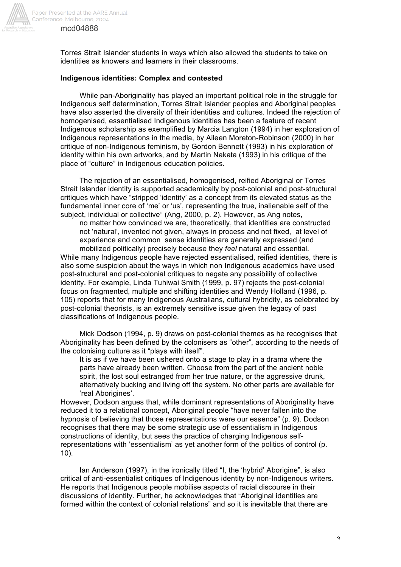

Torres Strait Islander students in ways which also allowed the students to take on identities as knowers and learners in their classrooms.

## **Indigenous identities: Complex and contested**

While pan-Aboriginality has played an important political role in the struggle for Indigenous self determination, Torres Strait Islander peoples and Aboriginal peoples have also asserted the diversity of their identities and cultures. Indeed the rejection of homogenised, essentialised Indigenous identities has been a feature of recent Indigenous scholarship as exemplified by Marcia Langton (1994) in her exploration of Indigenous representations in the media, by Aileen Moreton-Robinson (2000) in her critique of non-Indigenous feminism, by Gordon Bennett (1993) in his exploration of identity within his own artworks, and by Martin Nakata (1993) in his critique of the place of "culture" in Indigenous education policies.

The rejection of an essentialised, homogenised, reified Aboriginal or Torres Strait Islander identity is supported academically by post-colonial and post-structural critiques which have "stripped 'identity' as a concept from its elevated status as the fundamental inner core of 'me' or 'us', representing the true, inalienable self of the subject, individual or collective" (Ang, 2000, p. 2). However, as Ang notes,

no matter how convinced we are, theoretically, that identities are constructed not 'natural', invented not given, always in process and not fixed, at level of experience and common sense identities are generally expressed (and mobilized politically) precisely because they *feel* natural and essential.

While many Indigenous people have rejected essentialised, reified identities, there is also some suspicion about the ways in which non Indigenous academics have used post-structural and post-colonial critiques to negate any possibility of collective identity. For example, Linda Tuhiwai Smith (1999, p. 97) rejects the post-colonial focus on fragmented, multiple and shifting identities and Wendy Holland (1996, p. 105) reports that for many Indigenous Australians, cultural hybridity, as celebrated by post-colonial theorists, is an extremely sensitive issue given the legacy of past classifications of Indigenous people.

Mick Dodson (1994, p. 9) draws on post-colonial themes as he recognises that Aboriginality has been defined by the colonisers as "other", according to the needs of the colonising culture as it "plays with itself".

It is as if we have been ushered onto a stage to play in a drama where the parts have already been written. Choose from the part of the ancient noble spirit, the lost soul estranged from her true nature, or the aggressive drunk, alternatively bucking and living off the system. No other parts are available for 'real Aborigines'.

However, Dodson argues that, while dominant representations of Aboriginality have reduced it to a relational concept, Aboriginal people "have never fallen into the hypnosis of believing that those representations were our essence" (p. 9). Dodson recognises that there may be some strategic use of essentialism in Indigenous constructions of identity, but sees the practice of charging Indigenous selfrepresentations with 'essentialism' as yet another form of the politics of control (p. 10).

Ian Anderson (1997), in the ironically titled "I, the 'hybrid' Aborigine", is also critical of anti-essentialist critiques of Indigenous identity by non-Indigenous writers. He reports that Indigenous people mobilise aspects of racial discourse in their discussions of identity. Further, he acknowledges that "Aboriginal identities are formed within the context of colonial relations" and so it is inevitable that there are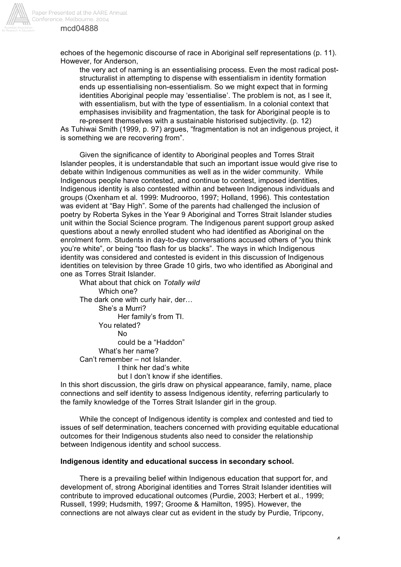

echoes of the hegemonic discourse of race in Aboriginal self representations (p. 11). However, for Anderson,

the very act of naming is an essentialising process. Even the most radical poststructuralist in attempting to dispense with essentialism in identity formation ends up essentialising non-essentialism. So we might expect that in forming identities Aboriginal people may 'essentialise'. The problem is not, as I see it, with essentialism, but with the type of essentialism. In a colonial context that emphasises invisibility and fragmentation, the task for Aboriginal people is to re-present themselves with a sustainable historised subjectivity. (p. 12)

As Tuhiwai Smith (1999, p. 97) argues, "fragmentation is not an indigenous project, it is something we are recovering from".

Given the significance of identity to Aboriginal peoples and Torres Strait Islander peoples, it is understandable that such an important issue would give rise to debate within Indigenous communities as well as in the wider community. While Indigenous people have contested, and continue to contest, imposed identities, Indigenous identity is also contested within and between Indigenous individuals and groups (Oxenham et al. 1999: Mudrooroo, 1997; Holland, 1996). This contestation was evident at "Bay High". Some of the parents had challenged the inclusion of poetry by Roberta Sykes in the Year 9 Aboriginal and Torres Strait Islander studies unit within the Social Science program. The Indigenous parent support group asked questions about a newly enrolled student who had identified as Aboriginal on the enrolment form. Students in day-to-day conversations accused others of "you think you're white", or being "too flash for us blacks". The ways in which Indigenous identity was considered and contested is evident in this discussion of Indigenous identities on television by three Grade 10 girls, two who identified as Aboriginal and one as Torres Strait Islander.

What about that chick on *Totally wild* Which one? The dark one with curly hair, der… She's a Murri? Her family's from TI. You related? No could be a "Haddon" What's her name? Can't remember – not Islander. I think her dad's white but I don't know if she identifies.

In this short discussion, the girls draw on physical appearance, family, name, place connections and self identity to assess Indigenous identity, referring particularly to the family knowledge of the Torres Strait Islander girl in the group.

While the concept of Indigenous identity is complex and contested and tied to issues of self determination, teachers concerned with providing equitable educational outcomes for their Indigenous students also need to consider the relationship between Indigenous identity and school success.

### **Indigenous identity and educational success in secondary school.**

There is a prevailing belief within Indigenous education that support for, and development of, strong Aboriginal identities and Torres Strait Islander identities will contribute to improved educational outcomes (Purdie, 2003; Herbert et al., 1999; Russell, 1999; Hudsmith, 1997; Groome & Hamilton, 1995). However, the connections are not always clear cut as evident in the study by Purdie, Tripcony,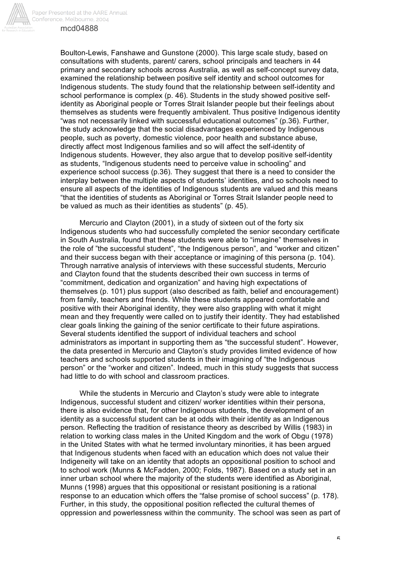

Paper Presented at the AARE Annual Conference, Melbourne, 2004

## mcd04888

Boulton-Lewis, Fanshawe and Gunstone (2000). This large scale study, based on consultations with students, parent/ carers, school principals and teachers in 44 primary and secondary schools across Australia, as well as self-concept survey data, examined the relationship between positive self identity and school outcomes for Indigenous students. The study found that the relationship between self-identity and school performance is complex (p. 46). Students in the study showed positive selfidentity as Aboriginal people or Torres Strait Islander people but their feelings about themselves as students were frequently ambivalent. Thus positive Indigenous identity "was not necessarily linked with successful educational outcomes" (p.36). Further, the study acknowledge that the social disadvantages experienced by Indigenous people, such as poverty, domestic violence, poor health and substance abuse, directly affect most Indigenous families and so will affect the self-identity of Indigenous students. However, they also argue that to develop positive self-identity as students, "Indigenous students need to perceive value in schooling" and experience school success (p.36). They suggest that there is a need to consider the interplay between the multiple aspects of students' identities, and so schools need to ensure all aspects of the identities of Indigenous students are valued and this means "that the identities of students as Aboriginal or Torres Strait Islander people need to be valued as much as their identities as students" (p. 45).

Mercurio and Clayton (2001), in a study of sixteen out of the forty six Indigenous students who had successfully completed the senior secondary certificate in South Australia, found that these students were able to "imagine" themselves in the role of "the successful student", "the Indigenous person", and "worker and citizen" and their success began with their acceptance or imagining of this persona (p. 104). Through narrative analysis of interviews with these successful students, Mercurio and Clayton found that the students described their own success in terms of "commitment, dedication and organization" and having high expectations of themselves (p. 101) plus support (also described as faith, belief and encouragement) from family, teachers and friends. While these students appeared comfortable and positive with their Aboriginal identity, they were also grappling with what it might mean and they frequently were called on to justify their identity. They had established clear goals linking the gaining of the senior certificate to their future aspirations. Several students identified the support of individual teachers and school administrators as important in supporting them as "the successful student". However, the data presented in Mercurio and Clayton's study provides limited evidence of how teachers and schools supported students in their imagining of "the Indigenous person" or the "worker and citizen". Indeed, much in this study suggests that success had little to do with school and classroom practices.

While the students in Mercurio and Clayton's study were able to integrate Indigenous, successful student and citizen/ worker identities within their persona, there is also evidence that, for other Indigenous students, the development of an identity as a successful student can be at odds with their identity as an Indigenous person. Reflecting the tradition of resistance theory as described by Willis (1983) in relation to working class males in the United Kingdom and the work of Obgu (1978) in the United States with what he termed involuntary minorities, it has been argued that Indigenous students when faced with an education which does not value their Indigeneity will take on an identity that adopts an oppositional position to school and to school work (Munns & McFadden, 2000; Folds, 1987). Based on a study set in an inner urban school where the majority of the students were identified as Aboriginal, Munns (1998) argues that this oppositional or resistant positioning is a rational response to an education which offers the "false promise of school success" (p. 178). Further, in this study, the oppositional position reflected the cultural themes of oppression and powerlessness within the community. The school was seen as part of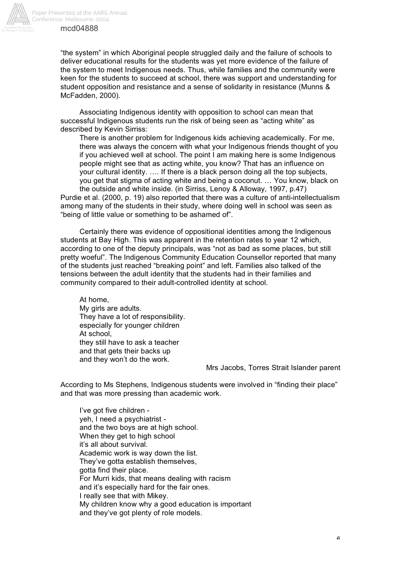

"the system" in which Aboriginal people struggled daily and the failure of schools to deliver educational results for the students was yet more evidence of the failure of the system to meet Indigenous needs. Thus, while families and the community were keen for the students to succeed at school, there was support and understanding for student opposition and resistance and a sense of solidarity in resistance (Munns & McFadden, 2000).

Associating Indigenous identity with opposition to school can mean that successful Indigenous students run the risk of being seen as "acting white" as described by Kevin Sirriss:

There is another problem for Indigenous kids achieving academically. For me, there was always the concern with what your Indigenous friends thought of you if you achieved well at school. The point I am making here is some Indigenous people might see that as acting white, you know? That has an influence on your cultural identity. …. If there is a black person doing all the top subjects, you get that stigma of acting white and being a coconut. … You know, black on the outside and white inside. (in Sirriss, Lenoy & Alloway, 1997, p.47) Purdie et al. (2000, p. 19) also reported that there was a culture of anti-intellectualism

among many of the students in their study, where doing well in school was seen as "being of little value or something to be ashamed of".

Certainly there was evidence of oppositional identities among the Indigenous students at Bay High. This was apparent in the retention rates to year 12 which, according to one of the deputy principals, was "not as bad as some places, but still pretty woeful". The Indigenous Community Education Counsellor reported that many of the students just reached "breaking point" and left. Families also talked of the tensions between the adult identity that the students had in their families and community compared to their adult-controlled identity at school.

At home, My girls are adults. They have a lot of responsibility. especially for younger children At school, they still have to ask a teacher and that gets their backs up and they won't do the work.

#### Mrs Jacobs, Torres Strait Islander parent

According to Ms Stephens, Indigenous students were involved in "finding their place" and that was more pressing than academic work.

I've got five children yeh, I need a psychiatrist and the two boys are at high school. When they get to high school it's all about survival. Academic work is way down the list. They've gotta establish themselves, gotta find their place. For Murri kids, that means dealing with racism and it's especially hard for the fair ones. I really see that with Mikey. My children know why a good education is important and they've got plenty of role models.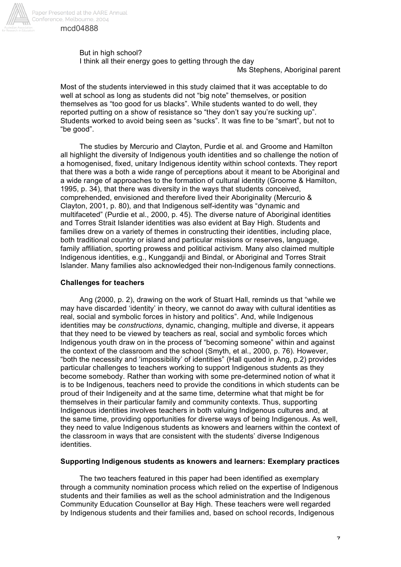

#### But in high school?

I think all their energy goes to getting through the day

Ms Stephens, Aboriginal parent

Most of the students interviewed in this study claimed that it was acceptable to do well at school as long as students did not "big note" themselves, or position themselves as "too good for us blacks". While students wanted to do well, they reported putting on a show of resistance so "they don't say you're sucking up". Students worked to avoid being seen as "sucks". It was fine to be "smart", but not to "be good".

The studies by Mercurio and Clayton, Purdie et al. and Groome and Hamilton all highlight the diversity of Indigenous youth identities and so challenge the notion of a homogenised, fixed, unitary Indigenous identity within school contexts. They report that there was a both a wide range of perceptions about it meant to be Aboriginal and a wide range of approaches to the formation of cultural identity (Groome & Hamilton, 1995, p. 34), that there was diversity in the ways that students conceived, comprehended, envisioned and therefore lived their Aboriginality (Mercurio & Clayton, 2001, p. 80), and that Indigenous self-identity was "dynamic and multifaceted" (Purdie et al., 2000, p. 45). The diverse nature of Aboriginal identities and Torres Strait Islander identities was also evident at Bay High. Students and families drew on a variety of themes in constructing their identities, including place, both traditional country or island and particular missions or reserves, language, family affiliation, sporting prowess and political activism. Many also claimed multiple Indigenous identities, e.g., Kunggandji and Bindal, or Aboriginal and Torres Strait Islander. Many families also acknowledged their non-Indigenous family connections.

## **Challenges for teachers**

Ang (2000, p. 2), drawing on the work of Stuart Hall, reminds us that "while we may have discarded 'identity' in theory, we cannot do away with cultural identities as real, social and symbolic forces in history and politics". And, while Indigenous identities may be *constructions*, dynamic, changing, multiple and diverse, it appears that they need to be viewed by teachers as real, social and symbolic forces which Indigenous youth draw on in the process of "becoming someone" within and against the context of the classroom and the school (Smyth, et al., 2000, p. 76). However, "both the necessity and 'impossibility' of identities" (Hall quoted in Ang, p.2) provides particular challenges to teachers working to support Indigenous students as they become somebody. Rather than working with some pre-determined notion of what it is to be Indigenous, teachers need to provide the conditions in which students can be proud of their Indigeneity and at the same time, determine what that might be for themselves in their particular family and community contexts. Thus, supporting Indigenous identities involves teachers in both valuing Indigenous cultures and, at the same time, providing opportunities for diverse ways of being Indigenous. As well, they need to value Indigenous students as knowers and learners within the context of the classroom in ways that are consistent with the students' diverse Indigenous identities.

## **Supporting Indigenous students as knowers and learners: Exemplary practices**

The two teachers featured in this paper had been identified as exemplary through a community nomination process which relied on the expertise of Indigenous students and their families as well as the school administration and the Indigenous Community Education Counsellor at Bay High. These teachers were well regarded by Indigenous students and their families and, based on school records, Indigenous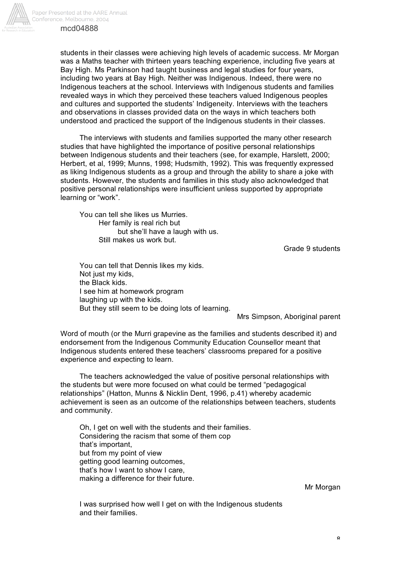

students in their classes were achieving high levels of academic success. Mr Morgan was a Maths teacher with thirteen years teaching experience, including five years at Bay High. Ms Parkinson had taught business and legal studies for four years, including two years at Bay High. Neither was Indigenous. Indeed, there were no Indigenous teachers at the school. Interviews with Indigenous students and families revealed ways in which they perceived these teachers valued Indigenous peoples and cultures and supported the students' Indigeneity. Interviews with the teachers and observations in classes provided data on the ways in which teachers both understood and practiced the support of the Indigenous students in their classes.

The interviews with students and families supported the many other research studies that have highlighted the importance of positive personal relationships between Indigenous students and their teachers (see, for example, Harslett, 2000; Herbert, et al, 1999; Munns, 1998; Hudsmith, 1992). This was frequently expressed as liking Indigenous students as a group and through the ability to share a joke with students. However, the students and families in this study also acknowledged that positive personal relationships were insufficient unless supported by appropriate learning or "work".

You can tell she likes us Murries. Her family is real rich but but she'll have a laugh with us. Still makes us work but.

Grade 9 students

You can tell that Dennis likes my kids. Not just my kids, the Black kids. I see him at homework program laughing up with the kids. But they still seem to be doing lots of learning.

Mrs Simpson, Aboriginal parent

Word of mouth (or the Murri grapevine as the families and students described it) and endorsement from the Indigenous Community Education Counsellor meant that Indigenous students entered these teachers' classrooms prepared for a positive experience and expecting to learn.

The teachers acknowledged the value of positive personal relationships with the students but were more focused on what could be termed "pedagogical relationships" (Hatton, Munns & Nicklin Dent, 1996, p.41) whereby academic achievement is seen as an outcome of the relationships between teachers, students and community.

Oh, I get on well with the students and their families. Considering the racism that some of them cop that's important, but from my point of view getting good learning outcomes, that's how I want to show I care, making a difference for their future.

Mr Morgan

I was surprised how well I get on with the Indigenous students and their families.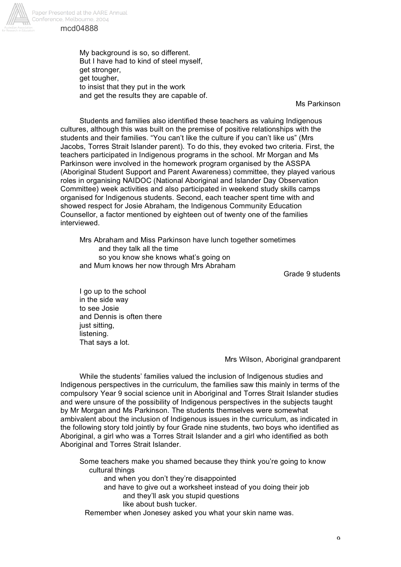

Paper Presented at the AARE Annual Conference, Melbourne, 2004 mcd04888

> My background is so, so different. But I have had to kind of steel myself, get stronger, get tougher, to insist that they put in the work and get the results they are capable of.

> > Ms Parkinson

Students and families also identified these teachers as valuing Indigenous cultures, although this was built on the premise of positive relationships with the students and their families. "You can't like the culture if you can't like us" (Mrs Jacobs, Torres Strait Islander parent). To do this, they evoked two criteria. First, the teachers participated in Indigenous programs in the school. Mr Morgan and Ms Parkinson were involved in the homework program organised by the ASSPA (Aboriginal Student Support and Parent Awareness) committee, they played various roles in organising NAIDOC (National Aboriginal and Islander Day Observation Committee) week activities and also participated in weekend study skills camps organised for Indigenous students. Second, each teacher spent time with and showed respect for Josie Abraham, the Indigenous Community Education Counsellor, a factor mentioned by eighteen out of twenty one of the families interviewed.

Mrs Abraham and Miss Parkinson have lunch together sometimes and they talk all the time so you know she knows what's going on and Mum knows her now through Mrs Abraham

Grade 9 students

I go up to the school in the side way to see Josie and Dennis is often there just sitting. listening. That says a lot.

Mrs Wilson, Aboriginal grandparent

While the students' families valued the inclusion of Indigenous studies and Indigenous perspectives in the curriculum, the families saw this mainly in terms of the compulsory Year 9 social science unit in Aboriginal and Torres Strait Islander studies and were unsure of the possibility of Indigenous perspectives in the subjects taught by Mr Morgan and Ms Parkinson. The students themselves were somewhat ambivalent about the inclusion of Indigenous issues in the curriculum, as indicated in the following story told jointly by four Grade nine students, two boys who identified as Aboriginal, a girl who was a Torres Strait Islander and a girl who identified as both Aboriginal and Torres Strait Islander.

Some teachers make you shamed because they think you're going to know cultural things and when you don't they're disappointed and have to give out a worksheet instead of you doing their job and they'll ask you stupid questions like about bush tucker.

Remember when Jonesey asked you what your skin name was.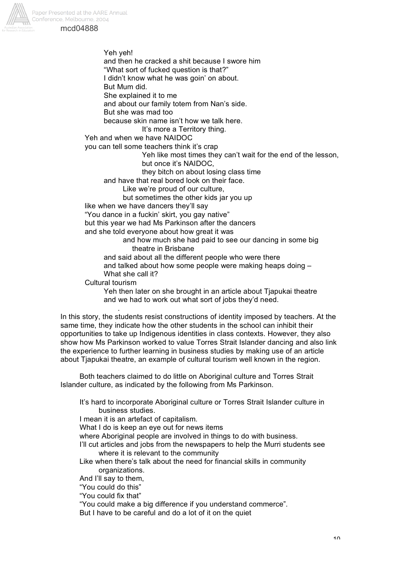



Yeh yeh! and then he cracked a shit because I swore him "What sort of fucked question is that?" I didn't know what he was goin' on about. But Mum did. She explained it to me and about our family totem from Nan's side. But she was mad too because skin name isn't how we talk here. It's more a Territory thing.

Yeh and when we have NAIDOC

you can tell some teachers think it's crap

Yeh like most times they can't wait for the end of the lesson,

but once it's NAIDOC,

they bitch on about losing class time

and have that real bored look on their face.

Like we're proud of our culture,

but sometimes the other kids jar you up

like when we have dancers they'll say

"You dance in a fuckin' skirt, you gay native"

but this year we had Ms Parkinson after the dancers

and she told everyone about how great it was

and how much she had paid to see our dancing in some big theatre in Brisbane

and said about all the different people who were there

and talked about how some people were making heaps doing – What she call it?

Cultural tourism

.

Yeh then later on she brought in an article about Tjapukai theatre and we had to work out what sort of jobs they'd need.

In this story, the students resist constructions of identity imposed by teachers. At the same time, they indicate how the other students in the school can inhibit their opportunities to take up Indigenous identities in class contexts. However, they also show how Ms Parkinson worked to value Torres Strait Islander dancing and also link the experience to further learning in business studies by making use of an article about Tjapukai theatre, an example of cultural tourism well known in the region.

Both teachers claimed to do little on Aboriginal culture and Torres Strait Islander culture, as indicated by the following from Ms Parkinson.

It's hard to incorporate Aboriginal culture or Torres Strait Islander culture in business studies. I mean it is an artefact of capitalism. What I do is keep an eye out for news items where Aboriginal people are involved in things to do with business. I'll cut articles and jobs from the newspapers to help the Murri students see where it is relevant to the community Like when there's talk about the need for financial skills in community organizations. And I'll say to them, "You could do this" "You could fix that" "You could make a big difference if you understand commerce".

But I have to be careful and do a lot of it on the quiet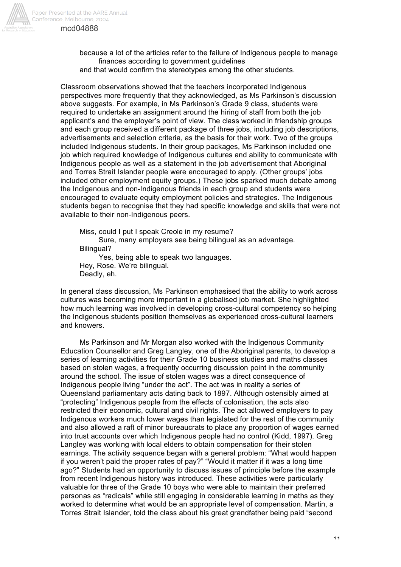

Conference, Melbourne, 2004 mcd04888

> because a lot of the articles refer to the failure of Indigenous people to manage finances according to government guidelines and that would confirm the stereotypes among the other students.

Classroom observations showed that the teachers incorporated Indigenous perspectives more frequently that they acknowledged, as Ms Parkinson's discussion above suggests. For example, in Ms Parkinson's Grade 9 class, students were required to undertake an assignment around the hiring of staff from both the job applicant's and the employer's point of view. The class worked in friendship groups and each group received a different package of three jobs, including job descriptions, advertisements and selection criteria, as the basis for their work. Two of the groups included Indigenous students. In their group packages, Ms Parkinson included one job which required knowledge of Indigenous cultures and ability to communicate with Indigenous people as well as a statement in the job advertisement that Aboriginal and Torres Strait Islander people were encouraged to apply. (Other groups' jobs included other employment equity groups.) These jobs sparked much debate among the Indigenous and non-Indigenous friends in each group and students were encouraged to evaluate equity employment policies and strategies. The Indigenous students began to recognise that they had specific knowledge and skills that were not available to their non-Indigenous peers.

Miss, could I put I speak Creole in my resume? Sure, many employers see being bilingual as an advantage. Bilingual? Yes, being able to speak two languages.

Hey, Rose. We're bilingual. Deadly, eh.

In general class discussion, Ms Parkinson emphasised that the ability to work across cultures was becoming more important in a globalised job market. She highlighted how much learning was involved in developing cross-cultural competency so helping the Indigenous students position themselves as experienced cross-cultural learners and knowers.

Ms Parkinson and Mr Morgan also worked with the Indigenous Community Education Counsellor and Greg Langley, one of the Aboriginal parents, to develop a series of learning activities for their Grade 10 business studies and maths classes based on stolen wages, a frequently occurring discussion point in the community around the school. The issue of stolen wages was a direct consequence of Indigenous people living "under the act". The act was in reality a series of Queensland parliamentary acts dating back to 1897. Although ostensibly aimed at "protecting" Indigenous people from the effects of colonisation, the acts also restricted their economic, cultural and civil rights. The act allowed employers to pay Indigenous workers much lower wages than legislated for the rest of the community and also allowed a raft of minor bureaucrats to place any proportion of wages earned into trust accounts over which Indigenous people had no control (Kidd, 1997). Greg Langley was working with local elders to obtain compensation for their stolen earnings. The activity sequence began with a general problem: "What would happen if you weren't paid the proper rates of pay?" "Would it matter if it was a long time ago?" Students had an opportunity to discuss issues of principle before the example from recent Indigenous history was introduced. These activities were particularly valuable for three of the Grade 10 boys who were able to maintain their preferred personas as "radicals" while still engaging in considerable learning in maths as they worked to determine what would be an appropriate level of compensation. Martin, a Torres Strait Islander, told the class about his great grandfather being paid "second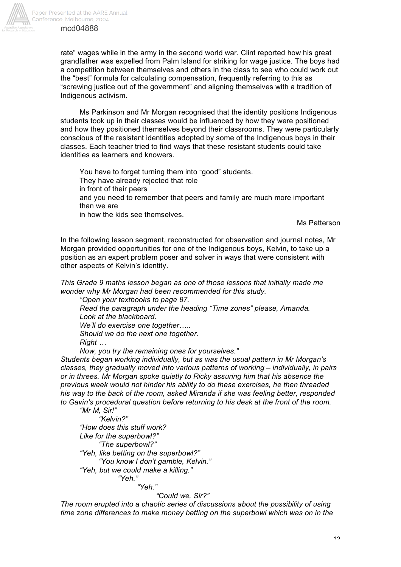rate" wages while in the army in the second world war. Clint reported how his great grandfather was expelled from Palm Island for striking for wage justice. The boys had a competition between themselves and others in the class to see who could work out the "best" formula for calculating compensation, frequently referring to this as "screwing justice out of the government" and aligning themselves with a tradition of Indigenous activism.

Ms Parkinson and Mr Morgan recognised that the identity positions Indigenous students took up in their classes would be influenced by how they were positioned and how they positioned themselves beyond their classrooms. They were particularly conscious of the resistant identities adopted by some of the Indigenous boys in their classes. Each teacher tried to find ways that these resistant students could take identities as learners and knowers.

You have to forget turning them into "good" students. They have already rejected that role in front of their peers and you need to remember that peers and family are much more important than we are in how the kids see themselves.

Ms Patterson

In the following lesson segment, reconstructed for observation and journal notes, Mr Morgan provided opportunities for one of the Indigenous boys, Kelvin, to take up a position as an expert problem poser and solver in ways that were consistent with other aspects of Kelvin's identity.

*This Grade 9 maths lesson began as one of those lessons that initially made me wonder why Mr Morgan had been recommended for this study.*

*"Open your textbooks to page 87.*

*Read the paragraph under the heading "Time zones" please, Amanda. Look at the blackboard.*

*We'll do exercise one together…..*

*Should we do the next one together.*

*Right …*

*Now, you try the remaining ones for yourselves."*

*Students began working individually, but as was the usual pattern in Mr Morgan's classes, they gradually moved into various patterns of working – individually, in pairs or in threes. Mr Morgan spoke quietly to Ricky assuring him that his absence the previous week would not hinder his ability to do these exercises, he then threaded his way to the back of the room, asked Miranda if she was feeling better, responded to Gavin's procedural question before returning to his desk at the front of the room.*

*"Mr M, Sir!" "Kelvin?" "How does this stuff work? Like for the superbowl?" "The superbowl?" "Yeh, like betting on the superbowl?" "You know I don't gamble, Kelvin." "Yeh, but we could make a killing." "Yeh." "Yeh."*

*"Could we, Sir?"*

*The room erupted into a chaotic series of discussions about the possibility of using time zone differences to make money betting on the superbowl which was on in the*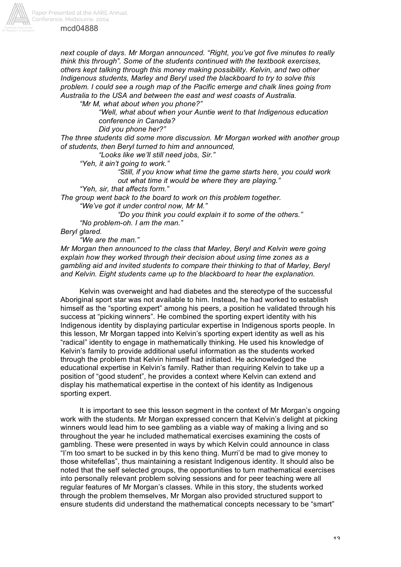

*next couple of days. Mr Morgan announced. "Right, you've got five minutes to really think this through". Some of the students continued with the textbook exercises, others kept talking through this money making possibility. Kelvin, and two other Indigenous students, Marley and Beryl used the blackboard to try to solve this problem. I could see a rough map of the Pacific emerge and chalk lines going from Australia to the USA and between the east and west coasts of Australia.*

*"Mr M, what about when you phone?"*

*"Well, what about when your Auntie went to that Indigenous education conference in Canada?*

*Did you phone her?"*

*The three students did some more discussion. Mr Morgan worked with another group of students, then Beryl turned to him and announced,*

*"Looks like we'll still need jobs, Sir."*

*"Yeh, it ain't going to work."* 

*"Still, if you know what time the game starts here, you could work out what time it would be where they are playing."*

*"Yeh, sir, that affects form."*

*The group went back to the board to work on this problem together.*

*"We've got it under control now, Mr M."*

*"Do you think you could explain it to some of the others." "No problem-oh. I am the man."*

*Beryl glared.*

*"We are the man."*

*Mr Morgan then announced to the class that Marley, Beryl and Kelvin were going explain how they worked through their decision about using time zones as a gambling aid and invited students to compare their thinking to that of Marley, Beryl and Kelvin. Eight students came up to the blackboard to hear the explanation.*

Kelvin was overweight and had diabetes and the stereotype of the successful Aboriginal sport star was not available to him. Instead, he had worked to establish himself as the "sporting expert" among his peers, a position he validated through his success at "picking winners". He combined the sporting expert identity with his Indigenous identity by displaying particular expertise in Indigenous sports people. In this lesson, Mr Morgan tapped into Kelvin's sporting expert identity as well as his "radical" identity to engage in mathematically thinking. He used his knowledge of Kelvin's family to provide additional useful information as the students worked through the problem that Kelvin himself had initiated. He acknowledged the educational expertise in Kelvin's family. Rather than requiring Kelvin to take up a position of "good student", he provides a context where Kelvin can extend and display his mathematical expertise in the context of his identity as Indigenous sporting expert.

It is important to see this lesson segment in the context of Mr Morgan's ongoing work with the students. Mr Morgan expressed concern that Kelvin's delight at picking winners would lead him to see gambling as a viable way of making a living and so throughout the year he included mathematical exercises examining the costs of gambling. These were presented in ways by which Kelvin could announce in class "I'm too smart to be sucked in by this keno thing. Murri'd be mad to give money to those whitefellas", thus maintaining a resistant Indigenous identity. It should also be noted that the self selected groups, the opportunities to turn mathematical exercises into personally relevant problem solving sessions and for peer teaching were all regular features of Mr Morgan's classes. While in this story, the students worked through the problem themselves, Mr Morgan also provided structured support to ensure students did understand the mathematical concepts necessary to be "smart"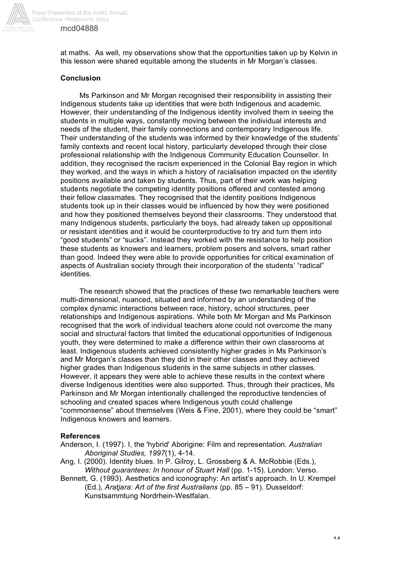

at maths. As well, my observations show that the opportunities taken up by Kelvin in this lesson were shared equitable among the students in Mr Morgan's classes.

## **Conclusion**

mcd04888

Ms Parkinson and Mr Morgan recognised their responsibility in assisting their Indigenous students take up identities that were both Indigenous and academic. However, their understanding of the Indigenous identity involved them in seeing the students in multiple ways, constantly moving between the individual interests and needs of the student, their family connections and contemporary Indigenous life. Their understanding of the students was informed by their knowledge of the students' family contexts and recent local history, particularly developed through their close professional relationship with the Indigenous Community Education Counsellor. In addition, they recognised the racism experienced in the Colonial Bay region in which they worked, and the ways in which a history of racialisation impacted on the identity positions available and taken by students. Thus, part of their work was helping students negotiate the competing identity positions offered and contested among their fellow classmates. They recognised that the identity positions Indigenous students took up in their classes would be influenced by how they were positioned and how they positioned themselves beyond their classrooms. They understood that many Indigenous students, particularly the boys, had already taken up oppositional or resistant identities and it would be counterproductive to try and turn them into "good students" or "sucks". Instead they worked with the resistance to help position these students as knowers and learners, problem posers and solvers, smart rather than good. Indeed they were able to provide opportunities for critical examination of aspects of Australian society through their incorporation of the students' "radical" identities.

The research showed that the practices of these two remarkable teachers were multi-dimensional, nuanced, situated and informed by an understanding of the complex dynamic interactions between race, history, school structures, peer relationships and Indigenous aspirations. While both Mr Morgan and Ms Parkinson recognised that the work of individual teachers alone could not overcome the many social and structural factors that limited the educational opportunities of Indigenous youth, they were determined to make a difference within their own classrooms at least. Indigenous students achieved consistently higher grades in Ms Parkinson's and Mr Morgan's classes than they did in their other classes and they achieved higher grades than Indigenous students in the same subjects in other classes. However, it appears they were able to achieve these results in the context where diverse Indigenous identities were also supported. Thus, through their practices, Ms Parkinson and Mr Morgan intentionally challenged the reproductive tendencies of schooling and created spaces where Indigenous youth could challenge "commonsense" about themselves (Weis & Fine, 2001), where they could be "smart" Indigenous knowers and learners.

## **References**

- Anderson, I. (1997). I, the 'hybrid' Aborigine: Film and representation. *Australian Aboriginal Studies, 1997*(1), 4-14.
- Ang, I. (2000). Identity blues. In P. Gilroy, L. Grossberg & A. McRobbie (Eds.), *Without guarantees: In honour of Stuart Hall* (pp. 1-15). London: Verso.
- Bennett, G. (1993). Aesthetics and iconography: An artist's approach. In U. Krempel (Ed.), *Aratjara: Art of the first Australians* (pp. 85 – 91). Dusseldorf: Kunstsammtung Nordrhein-Westfalan.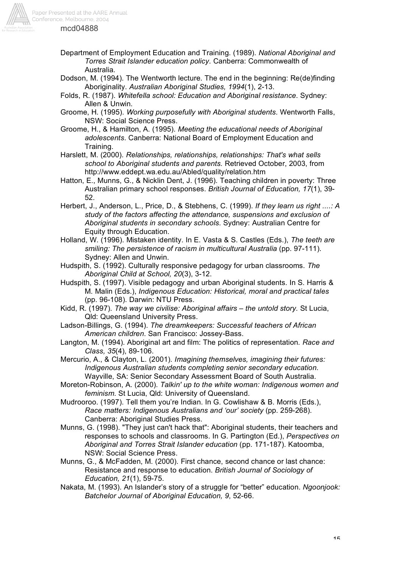

- Department of Employment Education and Training. (1989). *National Aboriginal and Torres Strait Islander education policy*. Canberra: Commonwealth of Australia.
- Dodson, M. (1994). The Wentworth lecture. The end in the beginning: Re(de)finding Aboriginality. *Australian Aboriginal Studies, 1994*(1), 2-13.
- Folds, R. (1987). *Whitefella school: Education and Aboriginal resistance*. Sydney: Allen & Unwin.

Groome, H. (1995). *Working purposefully with Aboriginal students*. Wentworth Falls, NSW: Social Science Press.

Groome, H., & Hamilton, A. (1995). *Meeting the educational needs of Aboriginal adolescents*. Canberra: National Board of Employment Education and Training.

Harslett, M. (2000). *Relationships, relationships, relationships: That's what sells school to Aboriginal students and parents.* Retrieved October, 2003, from http://www.eddept.wa.edu.au/Abled/quality/relation.htm

Hatton, E., Munns, G., & Nicklin Dent, J. (1996). Teaching children in poverty: Three Australian primary school responses. *British Journal of Education, 17*(1), 39- 52.

Herbert, J., Anderson, L., Price, D., & Stebhens, C. (1999). *If they learn us right ....: A study of the factors affecting the attendance, suspensions and exclusion of Aboriginal students in secondary schools*. Sydney: Australian Centre for Equity through Education.

Holland, W. (1996). Mistaken identity. In E. Vasta & S. Castles (Eds.), *The teeth are smiling: The persistence of racism in multicultural Australia* (pp. 97-111). Sydney: Allen and Unwin.

Hudspith, S. (1992). Culturally responsive pedagogy for urban classrooms. *The Aboriginal Child at School, 20*(3), 3-12.

Hudspith, S. (1997). Visible pedagogy and urban Aboriginal students. In S. Harris & M. Malin (Eds.), *Indigenous Education: Historical, moral and practical tales* (pp. 96-108). Darwin: NTU Press.

Kidd, R. (1997). *The way we civilise: Aboriginal affairs – the untold story.* St Lucia, Qld: Queensland University Press.

Ladson-Billings, G. (1994). *The dreamkeepers: Successful teachers of African American children*. San Francisco: Jossey-Bass.

Langton, M. (1994). Aboriginal art and film: The politics of representation. *Race and Class, 35*(4), 89-106.

Mercurio, A., & Clayton, L. (2001). *Imagining themselves, imagining their futures: Indigenous Australian students completing senior secondary education*. Wayville, SA: Senior Secondary Assessment Board of South Australia.

Moreton-Robinson, A. (2000). *Talkin' up to the white woman: Indigenous women and feminism*. St Lucia, Qld: University of Queensland.

Mudrooroo. (1997). Tell them you're Indian. In G. Cowlishaw & B. Morris (Eds.), *Race matters: Indigenous Australians and 'our' society* (pp. 259-268). Canberra: Aboriginal Studies Press.

Munns, G. (1998). "They just can't hack that": Aboriginal students, their teachers and responses to schools and classrooms. In G. Partington (Ed.), *Perspectives on Aboriginal and Torres Strait Islander education* (pp. 171-187). Katoomba, NSW: Social Science Press.

Munns, G., & McFadden, M. (2000). First chance, second chance or last chance: Resistance and response to education. *British Journal of Sociology of Education, 21*(1), 59-75.

Nakata, M. (1993). An Islander's story of a struggle for "better" education. *Ngoonjook: Batchelor Journal of Aboriginal Education, 9*, 52-66.